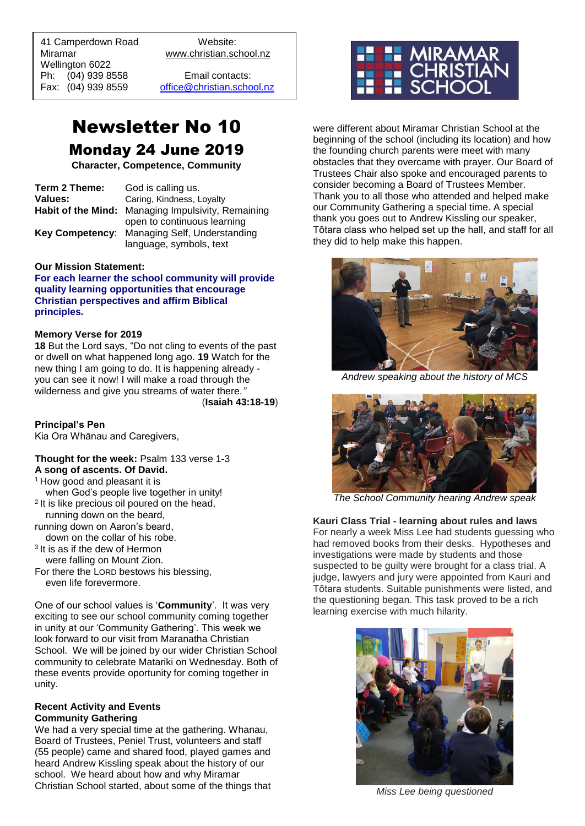41 Camperdown Road Website: Miramar www.christian.school.nz Wellington 6022 Ph: (04) 939 8558 Email contacts:

 $\overline{a}$ 

Fax: (04) 939 8559 [office@christian.school.nz](mailto:office@christian.school.nz)

# Newsletter No 10 Monday 24 June 2019

**Character, Competence, Community**

| Term 2 Theme: | God is calling us.                                 |
|---------------|----------------------------------------------------|
| Values:       | Caring, Kindness, Loyalty                          |
|               | Habit of the Mind: Managing Impulsivity, Remaining |
|               | open to continuous learning                        |
|               | Key Competency: Managing Self, Understanding       |
|               | language, symbols, text                            |

#### **Our Mission Statement:**

**For each learner the school community will provide quality learning opportunities that encourage Christian perspectives and affirm Biblical principles***.*

#### **Memory Verse for 2019**

**18** But the Lord says, "Do not cling to events of the past or dwell on what happened long ago. **19** Watch for the new thing I am going to do. It is happening already you can see it now! I will make a road through the wilderness and give you streams of water there*."*

(**Isaiah 43:18-19**)

#### **Principal's Pen**

Kia Ora Whānau and Caregivers,

#### **Thought for the week:** Psalm 133 verse 1-3 **A song of ascents. Of David.**

- <sup>1</sup> How good and pleasant it is when God's people live together in unity!
- <sup>2</sup> It is like precious oil poured on the head,
- running down on the beard,
- running down on Aaron's beard,
- down on the collar of his robe. 3 It is as if the dew of Hermon
- were falling on Mount Zion.
- For there the LORD bestows his blessing, even life forevermore.

One of our school values is '**Community**'. It was very exciting to see our school community coming together in unity at our 'Community Gathering'. This week we look forward to our visit from Maranatha Christian School. We will be joined by our wider Christian School community to celebrate Matariki on Wednesday. Both of these events provide oportunity for coming together in unity.

#### **Recent Activity and Events Community Gathering**

We had a very special time at the gathering. Whanau, Board of Trustees, Peniel Trust, volunteers and staff (55 people) came and shared food, played games and heard Andrew Kissling speak about the history of our school. We heard about how and why Miramar Christian School started, about some of the things that



were different about Miramar Christian School at the beginning of the school (including its location) and how the founding church parents were meet with many obstacles that they overcame with prayer. Our Board of Trustees Chair also spoke and encouraged parents to consider becoming a Board of Trustees Member. Thank you to all those who attended and helped make our Community Gathering a special time. A special thank you goes out to Andrew Kissling our speaker, Tōtara class who helped set up the hall, and staff for all they did to help make this happen.



*Andrew speaking about the history of MCS*



*The School Community hearing Andrew speak*

**Kauri Class Trial - learning about rules and laws**  For nearly a week Miss Lee had students guessing who had removed books from their desks. Hypotheses and investigations were made by students and those suspected to be guilty were brought for a class trial. A judge, lawyers and jury were appointed from Kauri and Tōtara students. Suitable punishments were listed, and the questioning began. This task proved to be a rich learning exercise with much hilarity.



*Miss Lee being questioned*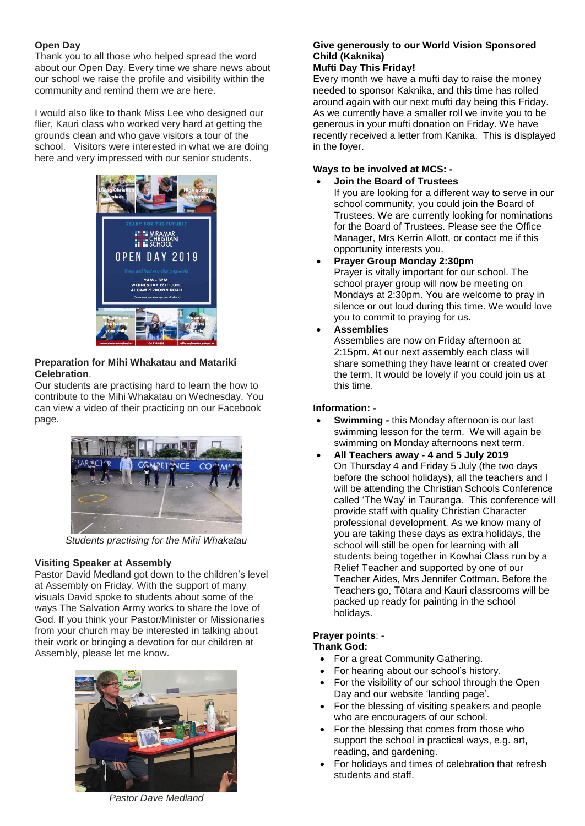# **Open Day**

Thank you to all those who helped spread the word about our Open Day. Every time we share news about our school we raise the profile and visibility within the community and remind them we are here.

I would also like to thank Miss Lee who designed our flier, Kauri class who worked very hard at getting the grounds clean and who gave visitors a tour of the school. Visitors were interested in what we are doing here and very impressed with our senior students.



# **Preparation for Mihi Whakatau and Matariki Celebration**.

Our students are practising hard to learn the how to contribute to the Mihi Whakatau on Wednesday. You can view a video of their practicing on our Facebook page.



*Students practising for the Mihi Whakatau*

## **Visiting Speaker at Assembly**

Pastor David Medland got down to the children's level at Assembly on Friday. With the support of many visuals David spoke to students about some of the ways The Salvation Army works to share the love of God. If you think your Pastor/Minister or Missionaries from your church may be interested in talking about their work or bringing a devotion for our children at Assembly, please let me know.



*Pastor Dave Medland*

# **Give generously to our World Vision Sponsored Child (Kaknika)**

#### **Mufti Day This Friday!**

Every month we have a mufti day to raise the money needed to sponsor Kaknika, and this time has rolled around again with our next mufti day being this Friday. As we currently have a smaller roll we invite you to be generous in your mufti donation on Friday. We have recently received a letter from Kanika. This is displayed in the foyer.

# **Ways to be involved at MCS: -**

• **Join the Board of Trustees** If you are looking for a different way to serve in our school community, you could join the Board of Trustees. We are currently looking for nominations for the Board of Trustees. Please see the Office Manager, Mrs Kerrin Allott, or contact me if this opportunity interests you.

• **Prayer Group Monday 2:30pm**

Prayer is vitally important for our school. The school prayer group will now be meeting on Mondays at 2:30pm. You are welcome to pray in silence or out loud during this time. We would love you to commit to praying for us.

• **Assemblies**

Assemblies are now on Friday afternoon at 2:15pm. At our next assembly each class will share something they have learnt or created over the term. It would be lovely if you could join us at this time.

# **Information: -**

- **Swimming -** this Monday afternoon is our last swimming lesson for the term. We will again be swimming on Monday afternoons next term.
- **All Teachers away - 4 and 5 July 2019** On Thursday 4 and Friday 5 July (the two days before the school holidays), all the teachers and I will be attending the Christian Schools Conference called 'The Way' in Tauranga. This conference will provide staff with quality Christian Character professional development. As we know many of you are taking these days as extra holidays, the school will still be open for learning with all students being together in Kowhai Class run by a Relief Teacher and supported by one of our Teacher Aides, Mrs Jennifer Cottman. Before the Teachers go, Tōtara and Kauri classrooms will be packed up ready for painting in the school holidays.

# **Prayer points**: -

## **Thank God:**

- For a great Community Gathering.
- For hearing about our school's history.
- For the visibility of our school through the Open Day and our website 'landing page'.
- For the blessing of visiting speakers and people who are encouragers of our school.
- For the blessing that comes from those who support the school in practical ways, e.g. art, reading, and gardening.
- For holidays and times of celebration that refresh students and staff.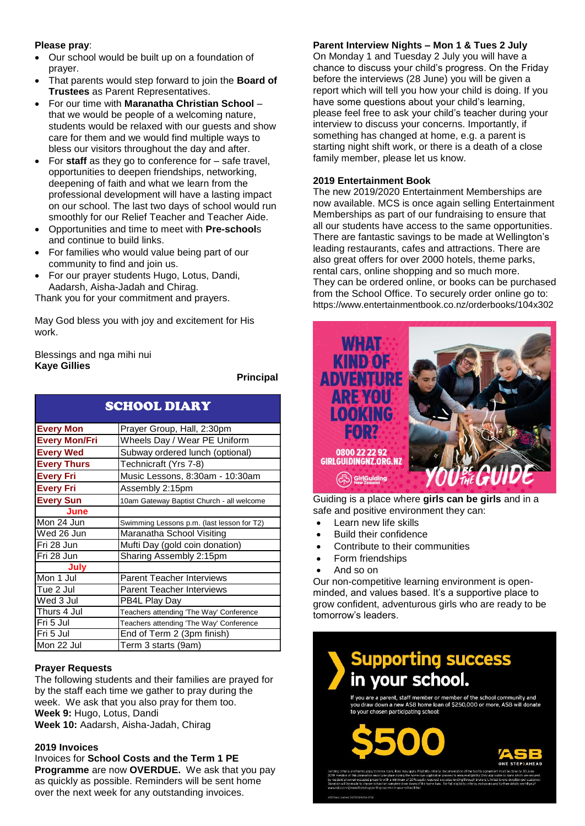## **Please pray**:

- Our school would be built up on a foundation of prayer.
- That parents would step forward to join the **Board of Trustees** as Parent Representatives.
- For our time with **Maranatha Christian School** that we would be people of a welcoming nature, students would be relaxed with our guests and show care for them and we would find multiple ways to bless our visitors throughout the day and after.
- For **staff** as they go to conference for safe travel, opportunities to deepen friendships, networking, deepening of faith and what we learn from the professional development will have a lasting impact on our school. The last two days of school would run smoothly for our Relief Teacher and Teacher Aide.
- Opportunities and time to meet with **Pre-school**s and continue to build links.
- For families who would value being part of our community to find and join us.
- For our prayer students Hugo, Lotus, Dandi, Aadarsh, Aisha-Jadah and Chirag.

Thank you for your commitment and prayers.

May God bless you with joy and excitement for His work.

Blessings and nga mihi nui **Kaye Gillies**

**Principal**

| <b>SCHOOL DIARY</b>  |                                            |
|----------------------|--------------------------------------------|
| <b>Every Mon</b>     | Prayer Group, Hall, 2:30pm                 |
| <b>Every Mon/Fri</b> | Wheels Day / Wear PE Uniform               |
| <b>Every Wed</b>     | Subway ordered lunch (optional)            |
| <b>Every Thurs</b>   | Technicraft (Yrs 7-8)                      |
| <b>Every Fri</b>     | Music Lessons, 8:30am - 10:30am            |
| <b>Every Fri</b>     | Assembly 2:15pm                            |
| <b>Every Sun</b>     | 10am Gateway Baptist Church - all welcome  |
| June                 |                                            |
| Mon 24 Jun           | Swimming Lessons p.m. (last lesson for T2) |
| Wed 26 Jun           | Maranatha School Visiting                  |
| Fri 28 Jun           | Mufti Day (gold coin donation)             |
| Fri 28 Jun           | Sharing Assembly 2:15pm                    |
| July                 |                                            |
| Mon 1 Jul            | <b>Parent Teacher Interviews</b>           |
| Tue 2 Jul            | <b>Parent Teacher Interviews</b>           |
| Wed 3 Jul            | PB4L Play Day                              |
| Thurs 4 Jul          | Teachers attending 'The Way' Conference    |
| Fri 5 Jul            | Teachers attending 'The Way' Conference    |
| Fri 5 Jul            | End of Term 2 (3pm finish)                 |
| Mon 22 Jul           | Term 3 starts (9am)                        |

## **Prayer Requests**

The following students and their families are prayed for by the staff each time we gather to pray during the week. We ask that you also pray for them too. **Week 9:** Hugo, Lotus, Dandi **Week 10:** Aadarsh, Aisha-Jadah, Chirag

#### **2019 Invoices**

Invoices for **School Costs and the Term 1 PE Programme** are now **OVERDUE.** We ask that you pay as quickly as possible. Reminders will be sent home over the next week for any outstanding invoices.

# **Parent Interview Nights – Mon 1 & Tues 2 July**

On Monday 1 and Tuesday 2 July you will have a chance to discuss your child's progress. On the Friday before the interviews (28 June) you will be given a report which will tell you how your child is doing. If you have some questions about your child's learning, please feel free to ask your child's teacher during your interview to discuss your concerns. Importantly, if something has changed at home, e.g. a parent is starting night shift work, or there is a death of a close family member, please let us know.

## **2019 Entertainment Book**

The new 2019/2020 Entertainment Memberships are now available. MCS is once again selling Entertainment Memberships as part of our fundraising to ensure that all our students have access to the same opportunities. There are fantastic savings to be made at Wellington's leading restaurants, cafes and attractions. There are also great offers for over 2000 hotels, theme parks, rental cars, online shopping and so much more. They can be ordered online, or books can be purchased from the School Office. To securely order online go to: https://www.entertainmentbook.co.nz/orderbooks/104x302



Guiding is a place where **girls can be girls** and in a safe and positive environment they can:

- Learn new life skills
- Build their confidence
- Contribute to their communities
- Form friendships
- And so on

Our non-competitive learning environment is openminded, and values based. It's a supportive place to grow confident, adventurous girls who are ready to be tomorrow's leaders.



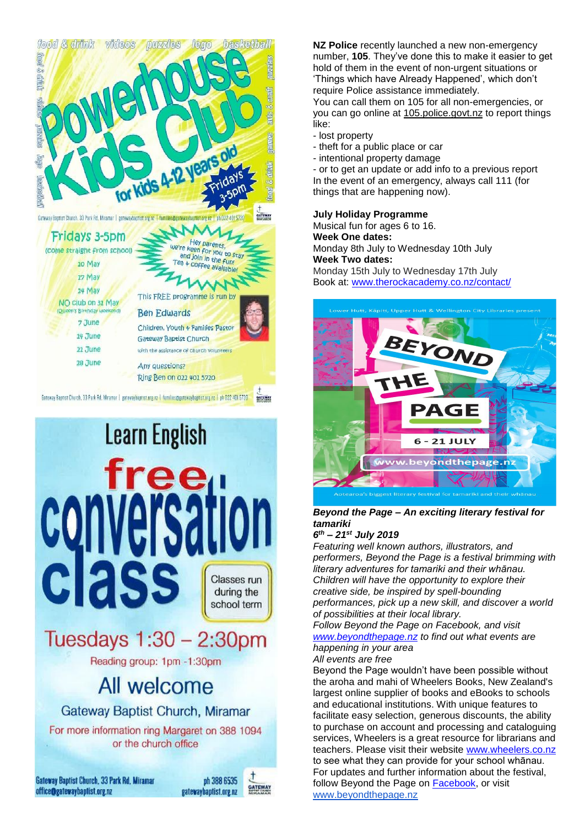



**NZ Police** recently launched a new non-emergency number, **105**. They've done this to make it easier to get hold of them in the event of non-urgent situations or 'Things which have Already Happened', which don't require Police assistance immediately.

You can call them on 105 for all non-emergencies, or you can go online at [105.police.govt.nz](http://105.police.govt.nz/) to report things like:

- lost property
- theft for a public place or car
- intentional property damage

- or to get an update or add info to a previous report In the event of an emergency, always call 111 (for things that are happening now).

#### **July Holiday Programme**

Musical fun for ages 6 to 16. **Week One dates:** Monday 8th July to Wednesday 10th July **Week Two dates:** Monday 15th July to Wednesday 17th July Book at: [www.therockacademy.co.nz/contact/](http://www.therockacademy.co.nz/contact/)



# *Beyond the Page – An exciting literary festival for tamariki*

*6 th – 21st July 2019*

*Featuring well known authors, illustrators, and performers, Beyond the Page is a festival brimming with literary adventures for tamariki and their whānau. Children will have the opportunity to explore their creative side, be inspired by spell-bounding performances, pick up a new skill, and discover a world of possibilities at their local library.*

*Follow Beyond the Page on Facebook, and visit [www.beyondthepage.nz](http://www.beyondthepage.nz/) to find out what events are happening in your area*

## *All events are free*

Beyond the Page wouldn't have been possible without the aroha and mahi of Wheelers Books, New Zealand's largest online supplier of books and eBooks to schools and educational institutions. With unique features to facilitate easy selection, generous discounts, the ability to purchase on account and processing and cataloguing services, Wheelers is a great resource for librarians and teachers. Please visit their website [www.wheelers.co.nz](http://www.wheelers.co.nz/) to see what they can provide for your school whānau. For updates and further information about the festival, follow Beyond [t](http://www.beyondthepage.nz/)he Page on **Facebook**, or visit [www.beyondthepage.nz](http://www.beyondthepage.nz/)